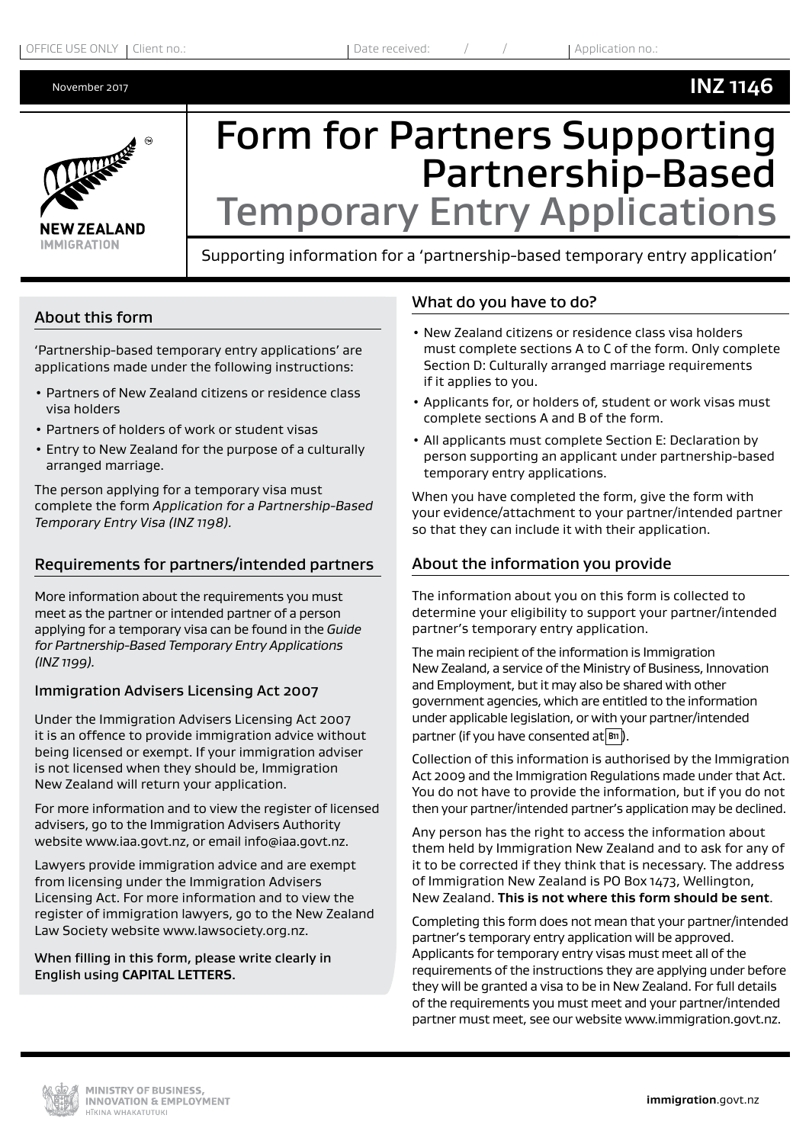# **NEW ZEALAND IMMIGRATION**

## Form for Partners Supporting Partnership-Based Temporary Entry Applications

Supporting information for a 'partnership-based temporary entry application'

#### About this form

'Partnership-based temporary entry applications' are applications made under the following instructions:

- Partners of New Zealand citizens or residence class visa holders
- Partners of holders of work or student visas
- Entry to New Zealand for the purpose of a culturally arranged marriage.

The person applying for a temporary visa must complete the form *Application for a Partnership-Based Temporary Entry Visa (INZ 1198).* 

### Requirements for partners/intended partners

More information about the requirements you must meet as the partner or intended partner of a person applying for a temporary visa can be found in the *Guide for Partnership-Based Temporary Entry Applications (INZ 1199).*

#### Immigration Advisers Licensing Act 2007

Under the Immigration Advisers Licensing Act 2007 it is an offence to provide immigration advice without being licensed or exempt. If your immigration adviser is not licensed when they should be, Immigration New Zealand will return your application.

For more information and to view the register of licensed advisers, go to the Immigration Advisers Authority website www.iaa.govt.nz, or email info@iaa.govt.nz.

Lawyers provide immigration advice and are exempt from licensing under the Immigration Advisers Licensing Act. For more information and to view the register of immigration lawyers, go to the New Zealand Law Society website www.lawsociety.org.nz.

When filling in this form, please write clearly in English using **CAPITAL LETTERS**.

#### What do you have to do?

- New Zealand citizens or residence class visa holders must complete sections A to C of the form. Only complete Section D: Culturally arranged marriage requirements if it applies to you.
- Applicants for, or holders of, student or work visas must complete sections A and B of the form.
- All applicants must complete Section E: Declaration by person supporting an applicant under partnership-based temporary entry applications.

When you have completed the form, give the form with your evidence/attachment to your partner/intended partner so that they can include it with their application.

### About the information you provide

The information about you on this form is collected to determine your eligibility to support your partner/intended partner's temporary entry application.

The main recipient of the information is Immigration New Zealand, a service of the Ministry of Business, Innovation and Employment, but it may also be shared with other government agencies, which are entitled to the information under applicable legislation, or with your partner/intended partner (if you have consented at  $\boxed{B1}$ ).

Collection of this information is authorised by the Immigration Act 2009 and the Immigration Regulations made under that Act. You do not have to provide the information, but if you do not then your partner/intended partner's application may be declined.

Any person has the right to access the information about them held by Immigration New Zealand and to ask for any of it to be corrected if they think that is necessary. The address of Immigration New Zealand is PO Box 1473, Wellington, New Zealand. **This is not where this form should be sent**.

Completing this form does not mean that your partner/intended partner's temporary entry application will be approved. Applicants for temporary entry visas must meet all of the requirements of the instructions they are applying under before they will be granted a visa to be in New Zealand. For full details of the requirements you must meet and your partner/intended partner must meet, see our website www.immigration.govt.nz.

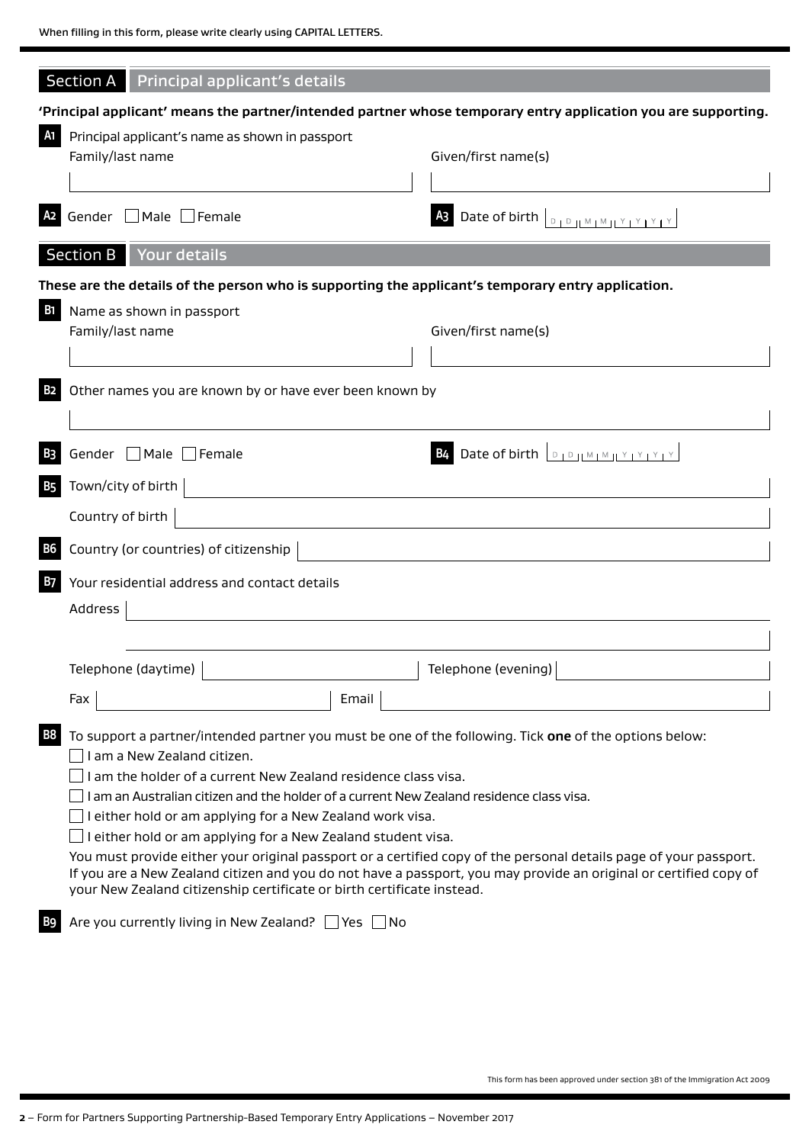|            | Section A Principal applicant's details                                                                                                                                                                                                                                                                                                                                                                                                                                                                                                                                                                                                                                                                                                          |                                             |  |  |  |  |  |  |
|------------|--------------------------------------------------------------------------------------------------------------------------------------------------------------------------------------------------------------------------------------------------------------------------------------------------------------------------------------------------------------------------------------------------------------------------------------------------------------------------------------------------------------------------------------------------------------------------------------------------------------------------------------------------------------------------------------------------------------------------------------------------|---------------------------------------------|--|--|--|--|--|--|
|            | 'Principal applicant' means the partner/intended partner whose temporary entry application you are supporting.                                                                                                                                                                                                                                                                                                                                                                                                                                                                                                                                                                                                                                   |                                             |  |  |  |  |  |  |
| A1         | Principal applicant's name as shown in passport<br>Family/last name<br>Given/first name(s)                                                                                                                                                                                                                                                                                                                                                                                                                                                                                                                                                                                                                                                       |                                             |  |  |  |  |  |  |
| A2         | Gender   Male   Female                                                                                                                                                                                                                                                                                                                                                                                                                                                                                                                                                                                                                                                                                                                           |                                             |  |  |  |  |  |  |
|            | Section B Your details                                                                                                                                                                                                                                                                                                                                                                                                                                                                                                                                                                                                                                                                                                                           |                                             |  |  |  |  |  |  |
|            | These are the details of the person who is supporting the applicant's temporary entry application.                                                                                                                                                                                                                                                                                                                                                                                                                                                                                                                                                                                                                                               |                                             |  |  |  |  |  |  |
| <b>B</b> 1 | Name as shown in passport<br>Family/last name<br>Given/first name(s)                                                                                                                                                                                                                                                                                                                                                                                                                                                                                                                                                                                                                                                                             |                                             |  |  |  |  |  |  |
| <b>B2</b>  | Other names you are known by or have ever been known by                                                                                                                                                                                                                                                                                                                                                                                                                                                                                                                                                                                                                                                                                          |                                             |  |  |  |  |  |  |
| <b>B3</b>  | Gender Male Female                                                                                                                                                                                                                                                                                                                                                                                                                                                                                                                                                                                                                                                                                                                               | <b>B4</b> Date of birth <b>DPP MMPY YEY</b> |  |  |  |  |  |  |
| <b>B5</b>  | Town/city of birth                                                                                                                                                                                                                                                                                                                                                                                                                                                                                                                                                                                                                                                                                                                               |                                             |  |  |  |  |  |  |
|            | Country of birth                                                                                                                                                                                                                                                                                                                                                                                                                                                                                                                                                                                                                                                                                                                                 |                                             |  |  |  |  |  |  |
| <b>B6</b>  | Country (or countries) of citizenship                                                                                                                                                                                                                                                                                                                                                                                                                                                                                                                                                                                                                                                                                                            |                                             |  |  |  |  |  |  |
| <b>B7</b>  | Your residential address and contact details<br>Address                                                                                                                                                                                                                                                                                                                                                                                                                                                                                                                                                                                                                                                                                          |                                             |  |  |  |  |  |  |
|            |                                                                                                                                                                                                                                                                                                                                                                                                                                                                                                                                                                                                                                                                                                                                                  |                                             |  |  |  |  |  |  |
|            | Telephone (evening)<br>Telephone (daytime) $ $                                                                                                                                                                                                                                                                                                                                                                                                                                                                                                                                                                                                                                                                                                   |                                             |  |  |  |  |  |  |
|            | Email<br>Fax                                                                                                                                                                                                                                                                                                                                                                                                                                                                                                                                                                                                                                                                                                                                     |                                             |  |  |  |  |  |  |
| <b>B8</b>  | To support a partner/intended partner you must be one of the following. Tick one of the options below:<br>I am a New Zealand citizen.<br>am the holder of a current New Zealand residence class visa.<br>I am an Australian citizen and the holder of a current New Zealand residence class visa.<br>I either hold or am applying for a New Zealand work visa.<br>either hold or am applying for a New Zealand student visa.<br>You must provide either your original passport or a certified copy of the personal details page of your passport.<br>If you are a New Zealand citizen and you do not have a passport, you may provide an original or certified copy of<br>your New Zealand citizenship certificate or birth certificate instead. |                                             |  |  |  |  |  |  |
| B9         | Are you currently living in New Zealand? Ves No                                                                                                                                                                                                                                                                                                                                                                                                                                                                                                                                                                                                                                                                                                  |                                             |  |  |  |  |  |  |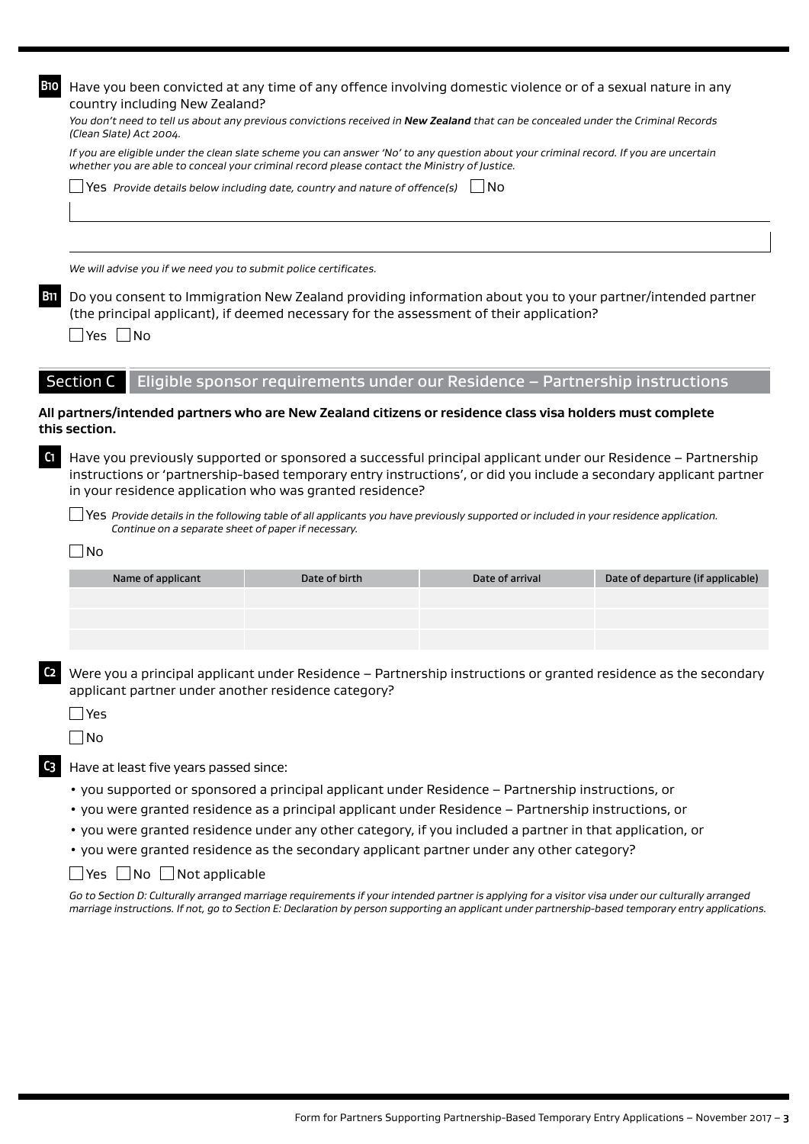| <b>B10</b>     | Have you been convicted at any time of any offence involving domestic violence or of a sexual nature in any                                                                                                                                                                                     |                                                                              |                 |                                   |  |  |  |
|----------------|-------------------------------------------------------------------------------------------------------------------------------------------------------------------------------------------------------------------------------------------------------------------------------------------------|------------------------------------------------------------------------------|-----------------|-----------------------------------|--|--|--|
|                | country including New Zealand?<br>You don't need to tell us about any previous convictions received in <b>New Zealand</b> that can be concealed under the Criminal Records<br>(Clean Slate) Act 2004.                                                                                           |                                                                              |                 |                                   |  |  |  |
|                | If you are eligible under the clean slate scheme you can answer 'No' to any question about your criminal record. If you are uncertain<br>whether you are able to conceal your criminal record please contact the Ministry of Justice.                                                           |                                                                              |                 |                                   |  |  |  |
|                | $\sqrt{\frac{1}{1}}$ Yes Provide details below including date, country and nature of offence(s)                                                                                                                                                                                                 |                                                                              |                 |                                   |  |  |  |
|                |                                                                                                                                                                                                                                                                                                 |                                                                              |                 |                                   |  |  |  |
|                | We will advise you if we need you to submit police certificates.                                                                                                                                                                                                                                |                                                                              |                 |                                   |  |  |  |
| <b>B11</b>     | Do you consent to Immigration New Zealand providing information about you to your partner/intended partner<br>(the principal applicant), if deemed necessary for the assessment of their application?<br>$\Box$ Yes $\Box$ No                                                                   |                                                                              |                 |                                   |  |  |  |
|                | <b>Section C</b>                                                                                                                                                                                                                                                                                | Eligible sponsor requirements under our Residence - Partnership instructions |                 |                                   |  |  |  |
|                | All partners/intended partners who are New Zealand citizens or residence class visa holders must complete<br>this section.                                                                                                                                                                      |                                                                              |                 |                                   |  |  |  |
| C <sub>1</sub> | Have you previously supported or sponsored a successful principal applicant under our Residence - Partnership<br>instructions or 'partnership-based temporary entry instructions', or did you include a secondary applicant partner<br>in your residence application who was granted residence? |                                                                              |                 |                                   |  |  |  |
|                | Yes Provide details in the following table of all applicants you have previously supported or included in your residence application.<br>Continue on a separate sheet of paper if necessary.                                                                                                    |                                                                              |                 |                                   |  |  |  |
|                | <b>No</b>                                                                                                                                                                                                                                                                                       |                                                                              |                 |                                   |  |  |  |
|                | Name of applicant                                                                                                                                                                                                                                                                               | Date of birth                                                                | Date of arrival | Date of departure (if applicable) |  |  |  |
|                |                                                                                                                                                                                                                                                                                                 |                                                                              |                 |                                   |  |  |  |
|                |                                                                                                                                                                                                                                                                                                 |                                                                              |                 |                                   |  |  |  |
| C <sub>2</sub> | Were you a principal applicant under Residence - Partnership instructions or granted residence as the secondary<br>applicant partner under another residence category?                                                                                                                          |                                                                              |                 |                                   |  |  |  |
|                | Yes                                                                                                                                                                                                                                                                                             |                                                                              |                 |                                   |  |  |  |

 $\Box$ No

**C3** Have at least five years passed since:

- you supported or sponsored a principal applicant under Residence Partnership instructions, or
- you were granted residence as a principal applicant under Residence Partnership instructions, or
- you were granted residence under any other category, if you included a partner in that application, or
- you were granted residence as the secondary applicant partner under any other category?
- $\Box$  Yes  $\Box$  No  $\Box$  Not applicable

*Go to Section D: Culturally arranged marriage requirements if your intended partner is applying for a visitor visa under our culturally arranged marriage instructions. If not, go to Section E: Declaration by person supporting an applicant under partnership-based temporary entry applications.*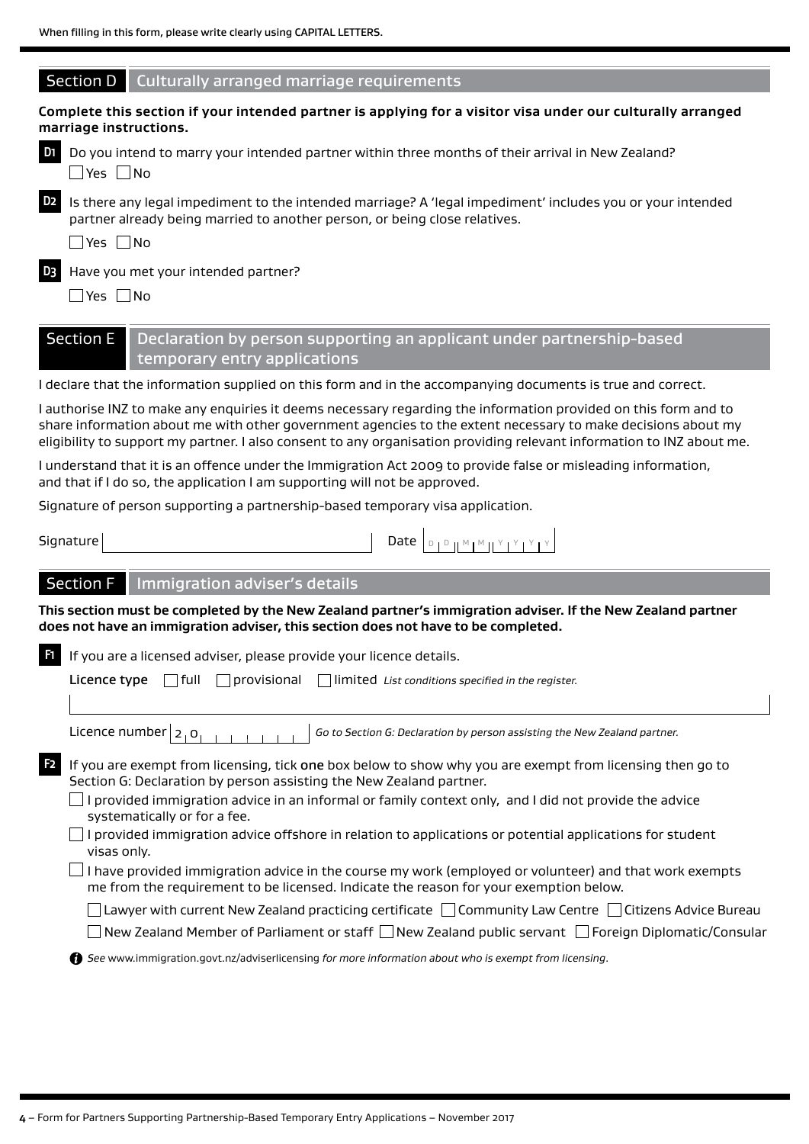| Section D<br>Culturally arranged marriage requirements                                                                                                                                                                                                                                                                                                   |
|----------------------------------------------------------------------------------------------------------------------------------------------------------------------------------------------------------------------------------------------------------------------------------------------------------------------------------------------------------|
| Complete this section if your intended partner is applying for a visitor visa under our culturally arranged<br>marriage instructions.                                                                                                                                                                                                                    |
| D <sub>1</sub><br>Do you intend to marry your intended partner within three months of their arrival in New Zealand?<br>$\Box$ Yes $\Box$ No                                                                                                                                                                                                              |
| D <sub>2</sub><br>Is there any legal impediment to the intended marriage? A 'legal impediment' includes you or your intended<br>partner already being married to another person, or being close relatives.<br>$\Box$ Yes $\Box$ No                                                                                                                       |
| D <sub>3</sub><br>Have you met your intended partner?<br>$\Box$ Yes $\Box$ No                                                                                                                                                                                                                                                                            |
| <b>Section E</b><br>Declaration by person supporting an applicant under partnership-based<br>temporary entry applications                                                                                                                                                                                                                                |
| I declare that the information supplied on this form and in the accompanying documents is true and correct.                                                                                                                                                                                                                                              |
| I authorise INZ to make any enquiries it deems necessary regarding the information provided on this form and to<br>share information about me with other government agencies to the extent necessary to make decisions about my<br>eligibility to support my partner. I also consent to any organisation providing relevant information to INZ about me. |
| I understand that it is an offence under the Immigration Act 2009 to provide false or misleading information,<br>and that if I do so, the application I am supporting will not be approved.                                                                                                                                                              |
| Signature of person supporting a partnership-based temporary visa application.                                                                                                                                                                                                                                                                           |
| Date $\boxed{\begin{array}{c} \text{D}_1 \text{D}_1 \text{M}_1 \text{M}_1 \text{M}_2 \text{M}_1 \text{M}_2 \text{M}_1 \text{M}_2 \end{array}}$<br>Signature                                                                                                                                                                                              |
| <b>Section F</b><br>Immigration adviser's details                                                                                                                                                                                                                                                                                                        |
| This section must be completed by the New Zealand partner's immigration adviser. If the New Zealand partner<br>does not have an immigration adviser, this section does not have to be completed.                                                                                                                                                         |
| F1.<br>If you are a licensed adviser, please provide your licence details.                                                                                                                                                                                                                                                                               |
| provisional<br>limited List conditions specified in the register.<br>Licence type<br>  full                                                                                                                                                                                                                                                              |
| Licence number $ 2,0 $<br>Go to Section G: Declaration by person assisting the New Zealand partner.                                                                                                                                                                                                                                                      |
| F <sub>2</sub><br>If you are exempt from licensing, tick one box below to show why you are exempt from licensing then go to<br>Section G: Declaration by person assisting the New Zealand partner.                                                                                                                                                       |
| I provided immigration advice in an informal or family context only, and I did not provide the advice<br>systematically or for a fee.                                                                                                                                                                                                                    |
| I provided immigration advice offshore in relation to applications or potential applications for student<br>visas only.                                                                                                                                                                                                                                  |
| I have provided immigration advice in the course my work (employed or volunteer) and that work exempts<br>me from the requirement to be licensed. Indicate the reason for your exemption below.                                                                                                                                                          |
| $\Box$ Lawyer with current New Zealand practicing certificate $\,\Box$ Community Law Centre $\,\Box$ Citizens Advice Bureau                                                                                                                                                                                                                              |
| ] New Zealand Member of Parliament or staff $\Box$ New Zealand public servant $\,\Box$ Foreign Diplomatic/Consular                                                                                                                                                                                                                                       |
| ↑ See www.immigration.govt.nz/adviserlicensing for more information about who is exempt from licensing.                                                                                                                                                                                                                                                  |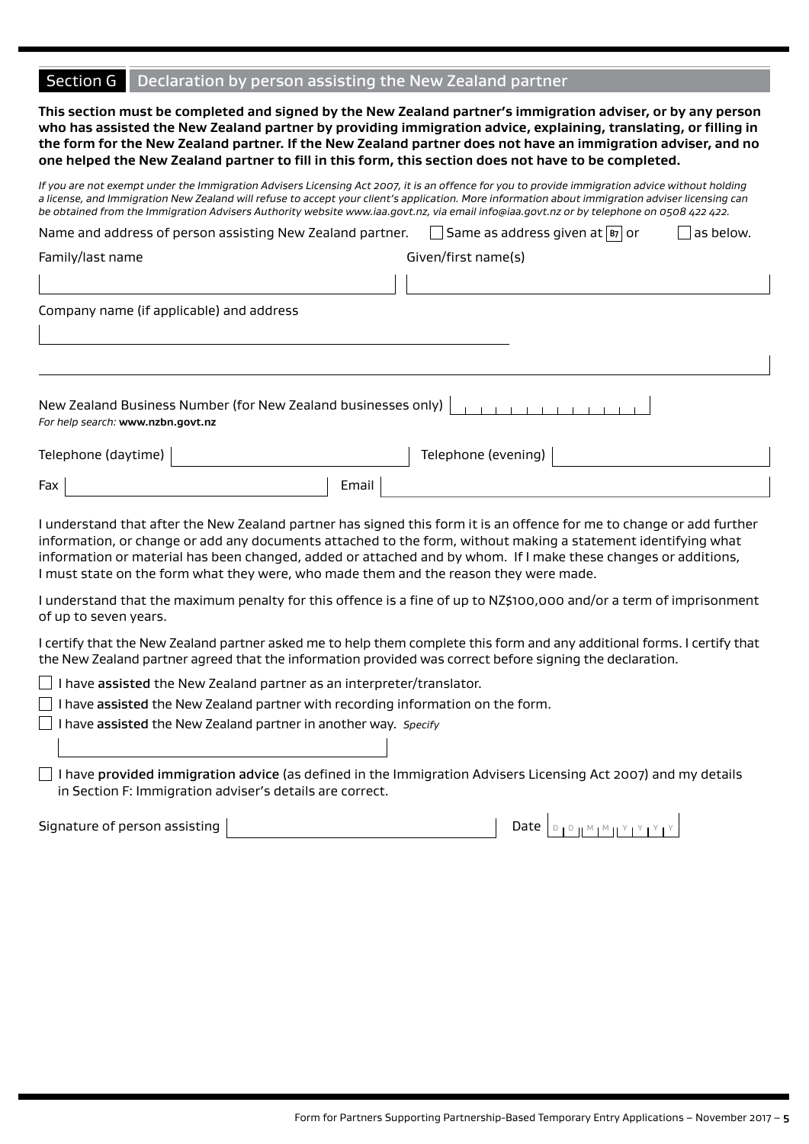#### Section G Declaration by person assisting the New Zealand partner

**This section must be completed and signed by the New Zealand partner's immigration adviser, or by any person who has assisted the New Zealand partner by providing immigration advice, explaining, translating, or filling in the form for the New Zealand partner. If the New Zealand partner does not have an immigration adviser, and no one helped the New Zealand partner to fill in this form, this section does not have to be completed.**

*If you are not exempt under the Immigration Advisers Licensing Act 2007, it is an offence for you to provide immigration advice without holding a license, and Immigration New Zealand will refuse to accept your client's application. More information about immigration adviser licensing can be obtained from the Immigration Advisers Authority website www.iaa.govt.nz, via email info@iaa.govt.nz or by telephone on 0508 422 422.* 

| Name and address of person assisting New Zealand partner.                                          | Same as address given at  B7 or | as below. |  |  |  |  |  |
|----------------------------------------------------------------------------------------------------|---------------------------------|-----------|--|--|--|--|--|
| Family/last name                                                                                   | Given/first name(s)             |           |  |  |  |  |  |
|                                                                                                    |                                 |           |  |  |  |  |  |
| Company name (if applicable) and address                                                           |                                 |           |  |  |  |  |  |
|                                                                                                    |                                 |           |  |  |  |  |  |
|                                                                                                    |                                 |           |  |  |  |  |  |
| New Zealand Business Number (for New Zealand businesses only)<br>For help search: www.nzbn.govt.nz |                                 |           |  |  |  |  |  |
| Telephone (daytime)                                                                                | Telephone (evening)             |           |  |  |  |  |  |
| Fax<br>Email                                                                                       |                                 |           |  |  |  |  |  |

I understand that after the New Zealand partner has signed this form it is an offence for me to change or add further information, or change or add any documents attached to the form, without making a statement identifying what information or material has been changed, added or attached and by whom. If I make these changes or additions, I must state on the form what they were, who made them and the reason they were made.

I understand that the maximum penalty for this offence is a fine of up to NZ\$100,000 and/or a term of imprisonment of up to seven years.

I certify that the New Zealand partner asked me to help them complete this form and any additional forms. I certify that the New Zealand partner agreed that the information provided was correct before signing the declaration.

 $\Box$  I have assisted the New Zealand partner as an interpreter/translator.

 $\Box$  I have assisted the New Zealand partner with recording information on the form.

I have assisted the New Zealand partner in another way. *Specify*

 $\Box$  I have provided immigration advice (as defined in the Immigration Advisers Licensing Act 2007) and my details in Section F: Immigration adviser's details are correct.

Signature of person assisting  $\begin{bmatrix} 1 & 0 & 0 \end{bmatrix}$